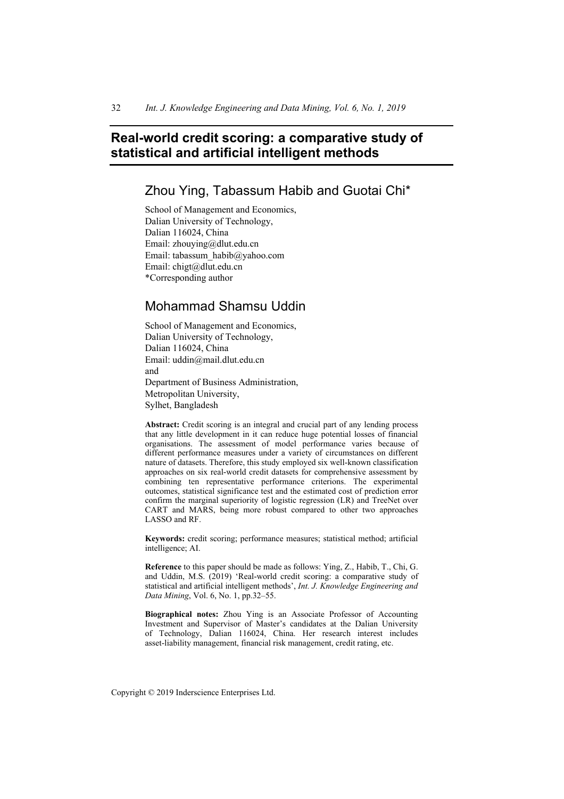# **Real-world credit scoring: a comparative study of statistical and artificial intelligent methods**

Zhou Ying, Tabassum Habib and Guotai Chi\*

School of Management and Economics, Dalian University of Technology, Dalian 116024, China Email: zhouying@dlut.edu.cn Email: tabassum\_habib@yahoo.com Email: chigt@dlut.edu.cn \*Corresponding author

# Mohammad Shamsu Uddin

School of Management and Economics, Dalian University of Technology, Dalian 116024, China Email: uddin@mail.dlut.edu.cn and Department of Business Administration, Metropolitan University, Sylhet, Bangladesh

**Abstract:** Credit scoring is an integral and crucial part of any lending process that any little development in it can reduce huge potential losses of financial organisations. The assessment of model performance varies because of different performance measures under a variety of circumstances on different nature of datasets. Therefore, this study employed six well-known classification approaches on six real-world credit datasets for comprehensive assessment by combining ten representative performance criterions. The experimental outcomes, statistical significance test and the estimated cost of prediction error confirm the marginal superiority of logistic regression (LR) and TreeNet over CART and MARS, being more robust compared to other two approaches LASSO and RF.

**Keywords:** credit scoring; performance measures; statistical method; artificial intelligence; AI.

**Reference** to this paper should be made as follows: Ying, Z., Habib, T., Chi, G. and Uddin, M.S. (2019) 'Real-world credit scoring: a comparative study of statistical and artificial intelligent methods', *Int. J. Knowledge Engineering and Data Mining*, Vol. 6, No. 1, pp.32–55.

**Biographical notes:** Zhou Ying is an Associate Professor of Accounting Investment and Supervisor of Master's candidates at the Dalian University of Technology, Dalian 116024, China. Her research interest includes asset-liability management, financial risk management, credit rating, etc.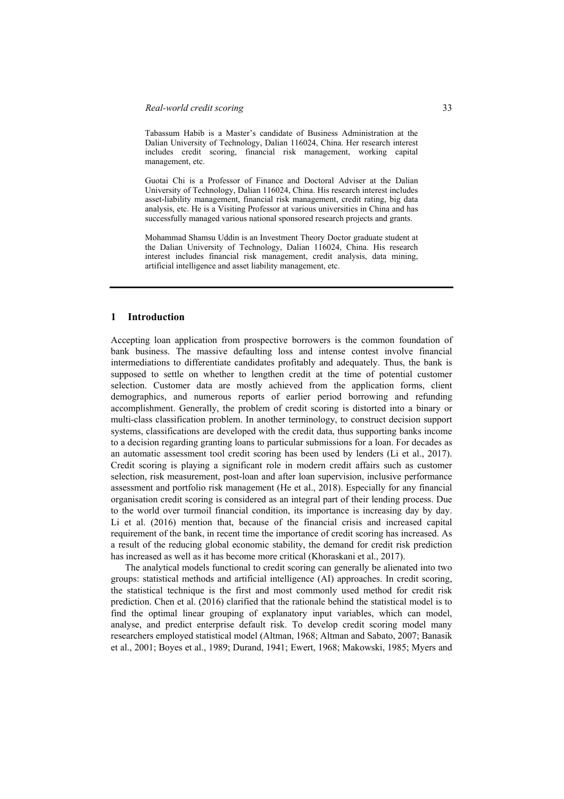#### *Real-world credit scoring* 33

Tabassum Habib is a Master's candidate of Business Administration at the Dalian University of Technology, Dalian 116024, China. Her research interest includes credit scoring, financial risk management, working capital management, etc.

Guotai Chi is a Professor of Finance and Doctoral Adviser at the Dalian University of Technology, Dalian 116024, China. His research interest includes asset-liability management, financial risk management, credit rating, big data analysis, etc. He is a Visiting Professor at various universities in China and has successfully managed various national sponsored research projects and grants.

Mohammad Shamsu Uddin is an Investment Theory Doctor graduate student at the Dalian University of Technology, Dalian 116024, China. His research interest includes financial risk management, credit analysis, data mining, artificial intelligence and asset liability management, etc.

# **1 Introduction**

Accepting loan application from prospective borrowers is the common foundation of bank business. The massive defaulting loss and intense contest involve financial intermediations to differentiate candidates profitably and adequately. Thus, the bank is supposed to settle on whether to lengthen credit at the time of potential customer selection. Customer data are mostly achieved from the application forms, client demographics, and numerous reports of earlier period borrowing and refunding accomplishment. Generally, the problem of credit scoring is distorted into a binary or multi-class classification problem. In another terminology, to construct decision support systems, classifications are developed with the credit data, thus supporting banks income to a decision regarding granting loans to particular submissions for a loan. For decades as an automatic assessment tool credit scoring has been used by lenders (Li et al., 2017). Credit scoring is playing a significant role in modern credit affairs such as customer selection, risk measurement, post-loan and after loan supervision, inclusive performance assessment and portfolio risk management (He et al., 2018). Especially for any financial organisation credit scoring is considered as an integral part of their lending process. Due to the world over turmoil financial condition, its importance is increasing day by day. Li et al. (2016) mention that, because of the financial crisis and increased capital requirement of the bank, in recent time the importance of credit scoring has increased. As a result of the reducing global economic stability, the demand for credit risk prediction has increased as well as it has become more critical (Khoraskani et al., 2017).

The analytical models functional to credit scoring can generally be alienated into two groups: statistical methods and artificial intelligence (AI) approaches. In credit scoring, the statistical technique is the first and most commonly used method for credit risk prediction. Chen et al. (2016) clarified that the rationale behind the statistical model is to find the optimal linear grouping of explanatory input variables, which can model, analyse, and predict enterprise default risk. To develop credit scoring model many researchers employed statistical model (Altman, 1968; Altman and Sabato, 2007; Banasik et al., 2001; Boyes et al., 1989; Durand, 1941; Ewert, 1968; Makowski, 1985; Myers and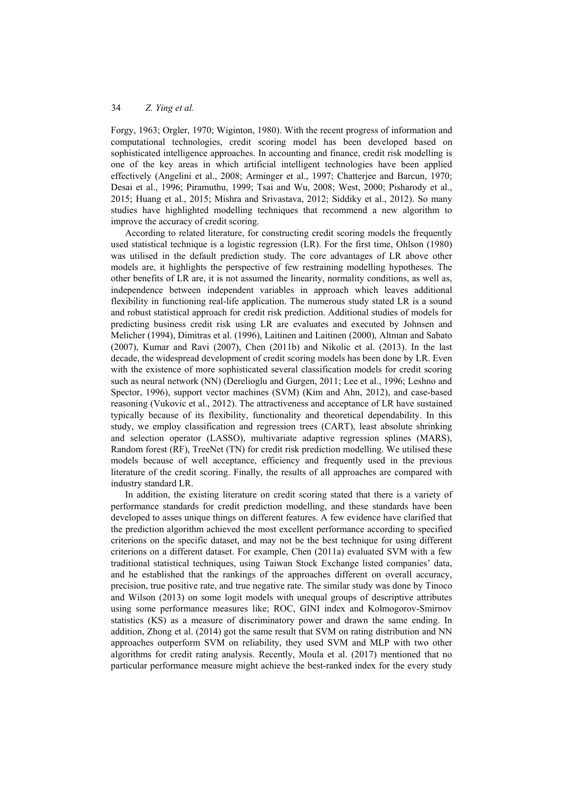Forgy, 1963; Orgler, 1970; Wiginton, 1980). With the recent progress of information and computational technologies, credit scoring model has been developed based on sophisticated intelligence approaches. In accounting and finance, credit risk modelling is one of the key areas in which artificial intelligent technologies have been applied effectively (Angelini et al., 2008; Arminger et al., 1997; Chatterjee and Barcun, 1970; Desai et al., 1996; Piramuthu, 1999; Tsai and Wu, 2008; West, 2000; Pisharody et al., 2015; Huang et al., 2015; Mishra and Srivastava, 2012; Siddiky et al., 2012). So many studies have highlighted modelling techniques that recommend a new algorithm to improve the accuracy of credit scoring.

According to related literature, for constructing credit scoring models the frequently used statistical technique is a logistic regression (LR). For the first time, Ohlson (1980) was utilised in the default prediction study. The core advantages of LR above other models are, it highlights the perspective of few restraining modelling hypotheses. The other benefits of LR are, it is not assumed the linearity, normality conditions, as well as, independence between independent variables in approach which leaves additional flexibility in functioning real-life application. The numerous study stated LR is a sound and robust statistical approach for credit risk prediction. Additional studies of models for predicting business credit risk using LR are evaluates and executed by Johnsen and Melicher (1994), Dimitras et al. (1996), Laitinen and Laitinen (2000), Altman and Sabato (2007), Kumar and Ravi (2007), Chen (2011b) and Nikolic et al. (2013). In the last decade, the widespread development of credit scoring models has been done by LR. Even with the existence of more sophisticated several classification models for credit scoring such as neural network (NN) (Derelioglu and Gurgen, 2011; Lee et al., 1996; Leshno and Spector, 1996), support vector machines (SVM) (Kim and Ahn, 2012), and case-based reasoning (Vukovic et al., 2012). The attractiveness and acceptance of LR have sustained typically because of its flexibility, functionality and theoretical dependability. In this study, we employ classification and regression trees (CART), least absolute shrinking and selection operator (LASSO), multivariate adaptive regression splines (MARS), Random forest (RF), TreeNet (TN) for credit risk prediction modelling. We utilised these models because of well acceptance, efficiency and frequently used in the previous literature of the credit scoring. Finally, the results of all approaches are compared with industry standard LR.

In addition, the existing literature on credit scoring stated that there is a variety of performance standards for credit prediction modelling, and these standards have been developed to asses unique things on different features. A few evidence have clarified that the prediction algorithm achieved the most excellent performance according to specified criterions on the specific dataset, and may not be the best technique for using different criterions on a different dataset. For example, Chen (2011a) evaluated SVM with a few traditional statistical techniques, using Taiwan Stock Exchange listed companies' data, and he established that the rankings of the approaches different on overall accuracy, precision, true positive rate, and true negative rate. The similar study was done by Tinoco and Wilson (2013) on some logit models with unequal groups of descriptive attributes using some performance measures like; ROC, GINI index and Kolmogorov-Smirnov statistics (KS) as a measure of discriminatory power and drawn the same ending. In addition, Zhong et al. (2014) got the same result that SVM on rating distribution and NN approaches outperform SVM on reliability, they used SVM and MLP with two other algorithms for credit rating analysis. Recently, Moula et al. (2017) mentioned that no particular performance measure might achieve the best-ranked index for the every study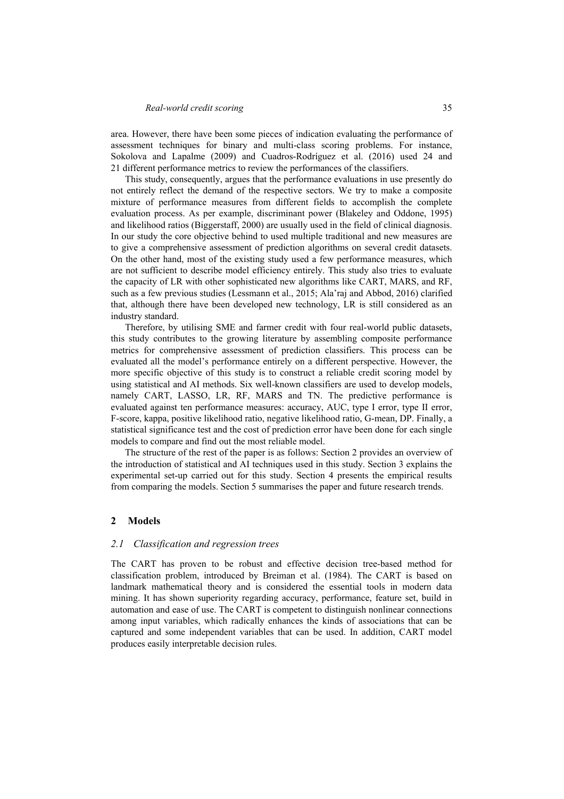#### *Real-world credit scoring* 35

area. However, there have been some pieces of indication evaluating the performance of assessment techniques for binary and multi-class scoring problems. For instance, Sokolova and Lapalme (2009) and Cuadros-Rodríguez et al. (2016) used 24 and 21 different performance metrics to review the performances of the classifiers.

This study, consequently, argues that the performance evaluations in use presently do not entirely reflect the demand of the respective sectors. We try to make a composite mixture of performance measures from different fields to accomplish the complete evaluation process. As per example, discriminant power (Blakeley and Oddone, 1995) and likelihood ratios (Biggerstaff, 2000) are usually used in the field of clinical diagnosis. In our study the core objective behind to used multiple traditional and new measures are to give a comprehensive assessment of prediction algorithms on several credit datasets. On the other hand, most of the existing study used a few performance measures, which are not sufficient to describe model efficiency entirely. This study also tries to evaluate the capacity of LR with other sophisticated new algorithms like CART, MARS, and RF, such as a few previous studies (Lessmann et al., 2015; Ala'raj and Abbod, 2016) clarified that, although there have been developed new technology, LR is still considered as an industry standard.

Therefore, by utilising SME and farmer credit with four real-world public datasets, this study contributes to the growing literature by assembling composite performance metrics for comprehensive assessment of prediction classifiers. This process can be evaluated all the model's performance entirely on a different perspective. However, the more specific objective of this study is to construct a reliable credit scoring model by using statistical and AI methods. Six well-known classifiers are used to develop models, namely CART, LASSO, LR, RF, MARS and TN. The predictive performance is evaluated against ten performance measures: accuracy, AUC, type I error, type II error, F-score, kappa, positive likelihood ratio, negative likelihood ratio, G-mean, DP. Finally, a statistical significance test and the cost of prediction error have been done for each single models to compare and find out the most reliable model.

The structure of the rest of the paper is as follows: Section 2 provides an overview of the introduction of statistical and AI techniques used in this study. Section 3 explains the experimental set-up carried out for this study. Section 4 presents the empirical results from comparing the models. Section 5 summarises the paper and future research trends.

#### **2 Models**

# *2.1 Classification and regression trees*

The CART has proven to be robust and effective decision tree-based method for classification problem, introduced by Breiman et al. (1984). The CART is based on landmark mathematical theory and is considered the essential tools in modern data mining. It has shown superiority regarding accuracy, performance, feature set, build in automation and ease of use. The CART is competent to distinguish nonlinear connections among input variables, which radically enhances the kinds of associations that can be captured and some independent variables that can be used. In addition, CART model produces easily interpretable decision rules.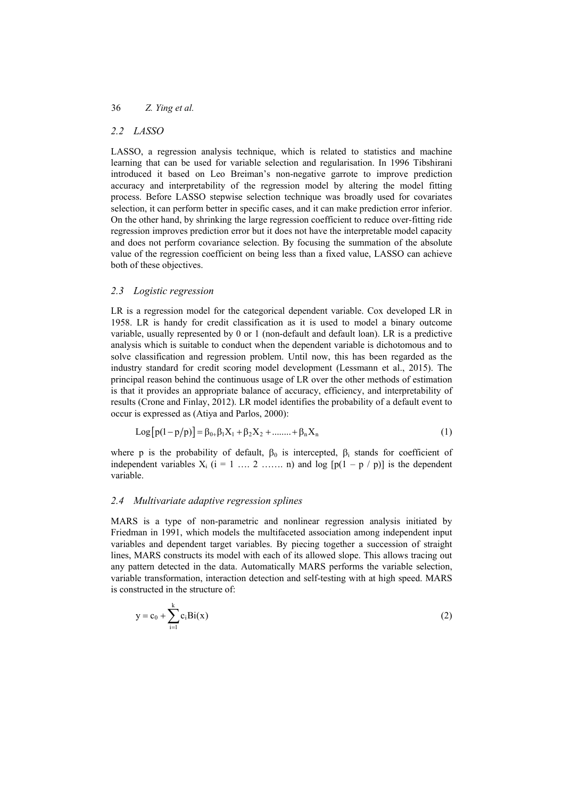#### *2.2 LASSO*

LASSO, a regression analysis technique, which is related to statistics and machine learning that can be used for variable selection and regularisation. In 1996 Tibshirani introduced it based on Leo Breiman's non-negative garrote to improve prediction accuracy and interpretability of the regression model by altering the model fitting process. Before LASSO stepwise selection technique was broadly used for covariates selection, it can perform better in specific cases, and it can make prediction error inferior. On the other hand, by shrinking the large regression coefficient to reduce over-fitting ride regression improves prediction error but it does not have the interpretable model capacity and does not perform covariance selection. By focusing the summation of the absolute value of the regression coefficient on being less than a fixed value, LASSO can achieve both of these objectives.

#### *2.3 Logistic regression*

LR is a regression model for the categorical dependent variable. Cox developed LR in 1958. LR is handy for credit classification as it is used to model a binary outcome variable, usually represented by 0 or 1 (non-default and default loan). LR is a predictive analysis which is suitable to conduct when the dependent variable is dichotomous and to solve classification and regression problem. Until now, this has been regarded as the industry standard for credit scoring model development (Lessmann et al., 2015). The principal reason behind the continuous usage of LR over the other methods of estimation is that it provides an appropriate balance of accuracy, efficiency, and interpretability of results (Crone and Finlay, 2012). LR model identifies the probability of a default event to occur is expressed as (Atiya and Parlos, 2000):

$$
Log[p(1-p/p)] = \beta_{0+}\beta_1X_1 + \beta_2X_2 + \dots + \beta_nX_n
$$
 (1)

where p is the probability of default,  $\beta_0$  is intercepted,  $\beta_i$  stands for coefficient of independent variables  $X_i$  ( $i = 1, ..., 2, ..., n$ ) and  $log [p(1 - p / p)]$  is the dependent variable.

#### *2.4 Multivariate adaptive regression splines*

MARS is a type of non-parametric and nonlinear regression analysis initiated by Friedman in 1991, which models the multifaceted association among independent input variables and dependent target variables. By piecing together a succession of straight lines, MARS constructs its model with each of its allowed slope. This allows tracing out any pattern detected in the data. Automatically MARS performs the variable selection, variable transformation, interaction detection and self-testing with at high speed. MARS is constructed in the structure of:

$$
y = c_0 + \sum_{i=1}^{k} c_i Bi(x)
$$
 (2)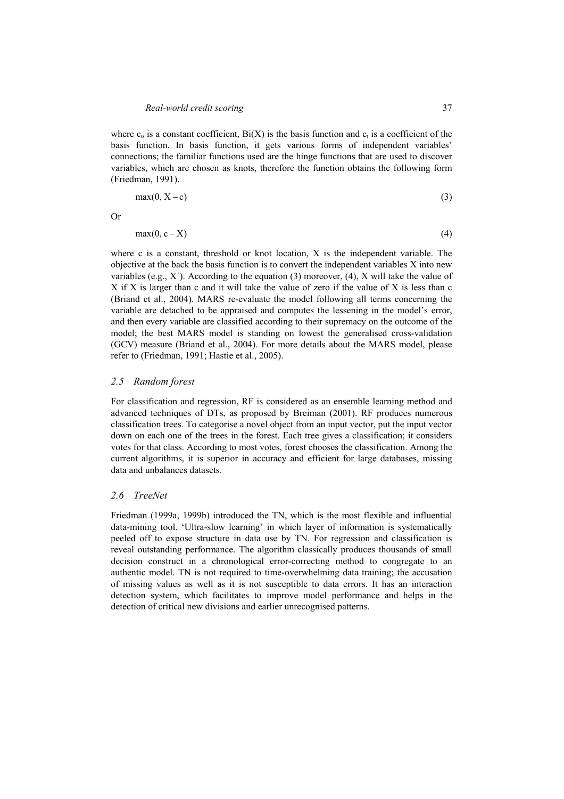where  $c_0$  is a constant coefficient,  $Bi(X)$  is the basis function and  $c_i$  is a coefficient of the basis function. In basis function, it gets various forms of independent variables' connections; the familiar functions used are the hinge functions that are used to discover variables, which are chosen as knots, therefore the function obtains the following form (Friedman, 1991).

$$
\max(0, X - c) \tag{3}
$$

Or

$$
\max(0, c - X) \tag{4}
$$

where c is a constant, threshold or knot location, X is the independent variable. The objective at the back the basis function is to convert the independent variables X into new variables (e.g.,  $X'$ ). According to the equation (3) moreover, (4), X will take the value of X if X is larger than c and it will take the value of zero if the value of X is less than c (Briand et al., 2004). MARS re-evaluate the model following all terms concerning the variable are detached to be appraised and computes the lessening in the model's error, and then every variable are classified according to their supremacy on the outcome of the model; the best MARS model is standing on lowest the generalised cross-validation (GCV) measure (Briand et al., 2004). For more details about the MARS model, please refer to (Friedman, 1991; Hastie et al., 2005).

#### *2.5 Random forest*

For classification and regression, RF is considered as an ensemble learning method and advanced techniques of DTs, as proposed by Breiman (2001). RF produces numerous classification trees. To categorise a novel object from an input vector, put the input vector down on each one of the trees in the forest. Each tree gives a classification; it considers votes for that class. According to most votes, forest chooses the classification. Among the current algorithms, it is superior in accuracy and efficient for large databases, missing data and unbalances datasets.

#### *2.6 TreeNet*

Friedman (1999a, 1999b) introduced the TN, which is the most flexible and influential data-mining tool. 'Ultra-slow learning' in which layer of information is systematically peeled off to expose structure in data use by TN. For regression and classification is reveal outstanding performance. The algorithm classically produces thousands of small decision construct in a chronological error-correcting method to congregate to an authentic model. TN is not required to time-overwhelming data training; the accusation of missing values as well as it is not susceptible to data errors. It has an interaction detection system, which facilitates to improve model performance and helps in the detection of critical new divisions and earlier unrecognised patterns.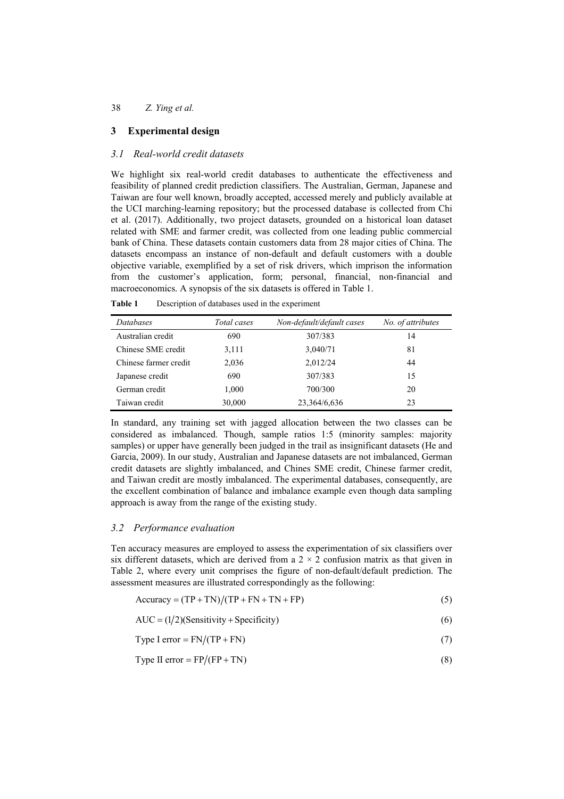# **3 Experimental design**

## *3.1 Real-world credit datasets*

We highlight six real-world credit databases to authenticate the effectiveness and feasibility of planned credit prediction classifiers. The Australian, German, Japanese and Taiwan are four well known, broadly accepted, accessed merely and publicly available at the UCI marching-learning repository; but the processed database is collected from Chi et al. (2017). Additionally, two project datasets, grounded on a historical loan dataset related with SME and farmer credit, was collected from one leading public commercial bank of China. These datasets contain customers data from 28 major cities of China. The datasets encompass an instance of non-default and default customers with a double objective variable, exemplified by a set of risk drivers, which imprison the information from the customer's application, form; personal, financial, non-financial and macroeconomics. A synopsis of the six datasets is offered in Table 1.

**Table 1** Description of databases used in the experiment

| Databases             | Total cases | Non-default/default cases | No. of attributes |
|-----------------------|-------------|---------------------------|-------------------|
| Australian credit     | 690         | 307/383                   | 14                |
| Chinese SME credit    | 3,111       | 3,040/71                  | 81                |
| Chinese farmer credit | 2,036       | 2,012/24                  | 44                |
| Japanese credit       | 690         | 307/383                   | 15                |
| German credit         | 1,000       | 700/300                   | 20                |
| Taiwan credit         | 30,000      | 23,364/6,636              | 23                |

In standard, any training set with jagged allocation between the two classes can be considered as imbalanced. Though, sample ratios 1:5 (minority samples: majority samples) or upper have generally been judged in the trail as insignificant datasets (He and Garcia, 2009). In our study, Australian and Japanese datasets are not imbalanced, German credit datasets are slightly imbalanced, and Chines SME credit, Chinese farmer credit, and Taiwan credit are mostly imbalanced. The experimental databases, consequently, are the excellent combination of balance and imbalance example even though data sampling approach is away from the range of the existing study.

#### *3.2 Performance evaluation*

Ten accuracy measures are employed to assess the experimentation of six classifiers over six different datasets, which are derived from a  $2 \times 2$  confusion matrix as that given in Table 2, where every unit comprises the figure of non-default/default prediction. The assessment measures are illustrated correspondingly as the following:

 $Accuracy = (TP + TN)/(TP + FN + TN + FP)$  (5)

$$
AUC = (1/2)(Sensitivity + Specificity)
$$
 (6)

Type I error = 
$$
FN/(TP + FN)
$$
 (7)

Type II error =  $FP/(FP + TN)$  (8)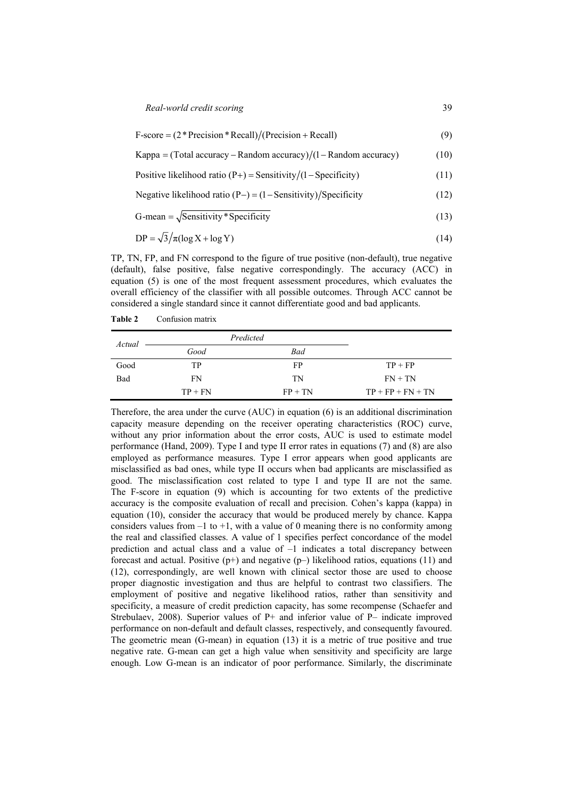*Real-world credit scoring* 39

 $F-score = (2*Precision * Recall)/(Precision + Recall)$  (9)

Kappa = (Total accuracy – Random accuracy)  $/(1 -$  Random accuracy)  $(10)$ 

Positive likelihood ratio  $(P+)$  = Sensitivity/ $(1 -$ Specificity) (11)

Negative likelihood ratio  $(P-) = (1 -$ Sensitivity) Specificity (12)

$$
G-mean = \sqrt{Sensitivity * Specificity}
$$
 (13)

$$
DP = \sqrt{3}/\pi(\log X + \log Y) \tag{14}
$$

TP, TN, FP, and FN correspond to the figure of true positive (non-default), true negative (default), false positive, false negative correspondingly. The accuracy (ACC) in equation (5) is one of the most frequent assessment procedures, which evaluates the overall efficiency of the classifier with all possible outcomes. Through ACC cannot be considered a single standard since it cannot differentiate good and bad applicants.

**Table 2** Confusion matrix

| Actual |           | Predicted |                     |
|--------|-----------|-----------|---------------------|
|        | Good      | Bad       |                     |
| Good   | TР        | FP        | $TP + FP$           |
| Bad    | FN        | TN        | $FN + TN$           |
|        | $TP + FN$ | $FP + TN$ | $TP + FP + FN + TN$ |

Therefore, the area under the curve (AUC) in equation (6) is an additional discrimination capacity measure depending on the receiver operating characteristics (ROC) curve, without any prior information about the error costs, AUC is used to estimate model performance (Hand, 2009). Type I and type II error rates in equations (7) and (8) are also employed as performance measures. Type I error appears when good applicants are misclassified as bad ones, while type II occurs when bad applicants are misclassified as good. The misclassification cost related to type I and type II are not the same. The F-score in equation (9) which is accounting for two extents of the predictive accuracy is the composite evaluation of recall and precision. Cohen's kappa (kappa) in equation (10), consider the accuracy that would be produced merely by chance. Kappa considers values from  $-1$  to  $+1$ , with a value of 0 meaning there is no conformity among the real and classified classes. A value of 1 specifies perfect concordance of the model prediction and actual class and a value of –1 indicates a total discrepancy between forecast and actual. Positive  $(p+)$  and negative  $(p-)$  likelihood ratios, equations (11) and (12), correspondingly, are well known with clinical sector those are used to choose proper diagnostic investigation and thus are helpful to contrast two classifiers. The employment of positive and negative likelihood ratios, rather than sensitivity and specificity, a measure of credit prediction capacity, has some recompense (Schaefer and Strebulaev, 2008). Superior values of P+ and inferior value of P– indicate improved performance on non-default and default classes, respectively, and consequently favoured. The geometric mean (G-mean) in equation (13) it is a metric of true positive and true negative rate. G-mean can get a high value when sensitivity and specificity are large enough. Low G-mean is an indicator of poor performance. Similarly, the discriminate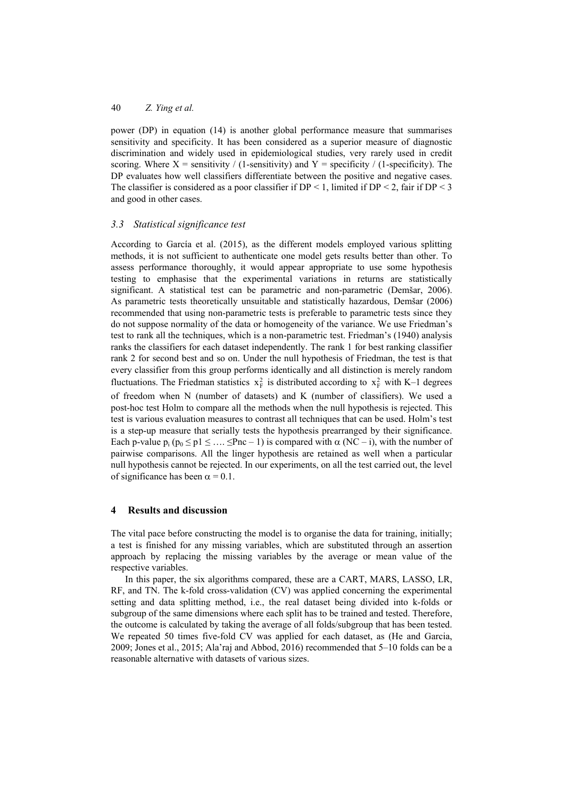power (DP) in equation (14) is another global performance measure that summarises sensitivity and specificity. It has been considered as a superior measure of diagnostic discrimination and widely used in epidemiological studies, very rarely used in credit scoring. Where  $X =$  sensitivity / (1-sensitivity) and  $Y =$  specificity / (1-specificity). The DP evaluates how well classifiers differentiate between the positive and negative cases. The classifier is considered as a poor classifier if  $DP < 1$ , limited if  $DP < 2$ , fair if  $DP < 3$ and good in other cases.

#### *3.3 Statistical significance test*

According to García et al. (2015), as the different models employed various splitting methods, it is not sufficient to authenticate one model gets results better than other. To assess performance thoroughly, it would appear appropriate to use some hypothesis testing to emphasise that the experimental variations in returns are statistically significant. A statistical test can be parametric and non-parametric (Demšar, 2006). As parametric tests theoretically unsuitable and statistically hazardous, Demšar (2006) recommended that using non-parametric tests is preferable to parametric tests since they do not suppose normality of the data or homogeneity of the variance. We use Friedman's test to rank all the techniques, which is a non-parametric test. Friedman's (1940) analysis ranks the classifiers for each dataset independently. The rank 1 for best ranking classifier rank 2 for second best and so on. Under the null hypothesis of Friedman, the test is that every classifier from this group performs identically and all distinction is merely random fluctuations. The Friedman statistics  $x_F^2$  is distributed according to  $x_F^2$  with K–1 degrees of freedom when N (number of datasets) and K (number of classifiers). We used a post-hoc test Holm to compare all the methods when the null hypothesis is rejected. This test is various evaluation measures to contrast all techniques that can be used. Holm's test is a step-up measure that serially tests the hypothesis prearranged by their significance. Each p-value p<sub>i</sub>  $(p_0 \le p1 \le ... \le pnc - 1)$  is compared with  $\alpha$  (NC – i), with the number of pairwise comparisons. All the linger hypothesis are retained as well when a particular null hypothesis cannot be rejected. In our experiments, on all the test carried out, the level of significance has been  $\alpha = 0.1$ .

#### **4 Results and discussion**

The vital pace before constructing the model is to organise the data for training, initially; a test is finished for any missing variables, which are substituted through an assertion approach by replacing the missing variables by the average or mean value of the respective variables.

In this paper, the six algorithms compared, these are a CART, MARS, LASSO, LR, RF, and TN. The k-fold cross-validation (CV) was applied concerning the experimental setting and data splitting method, i.e., the real dataset being divided into k-folds or subgroup of the same dimensions where each split has to be trained and tested. Therefore, the outcome is calculated by taking the average of all folds/subgroup that has been tested. We repeated 50 times five-fold CV was applied for each dataset, as (He and Garcia, 2009; Jones et al., 2015; Ala'raj and Abbod, 2016) recommended that 5–10 folds can be a reasonable alternative with datasets of various sizes.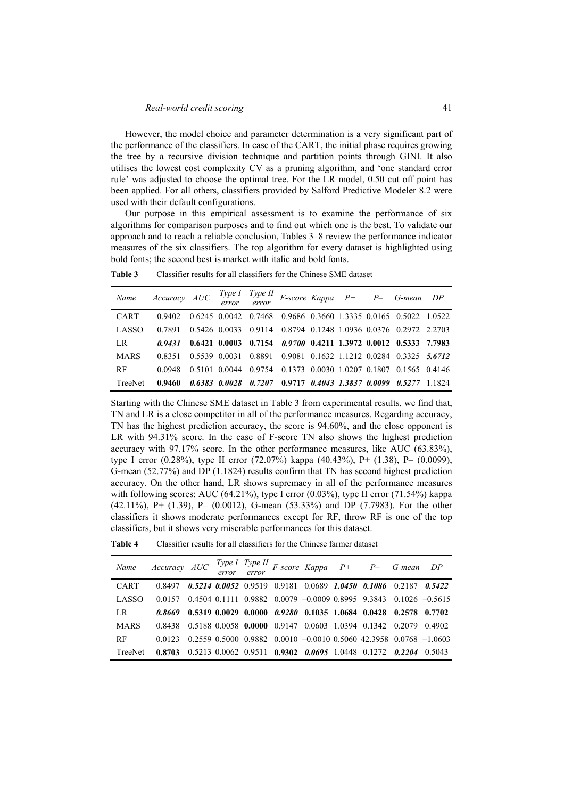However, the model choice and parameter determination is a very significant part of the performance of the classifiers. In case of the CART, the initial phase requires growing the tree by a recursive division technique and partition points through GINI. It also utilises the lowest cost complexity CV as a pruning algorithm, and 'one standard error rule' was adjusted to choose the optimal tree. For the LR model, 0.50 cut off point has been applied. For all others, classifiers provided by Salford Predictive Modeler 8.2 were used with their default configurations.

Our purpose in this empirical assessment is to examine the performance of six algorithms for comparison purposes and to find out which one is the best. To validate our approach and to reach a reliable conclusion, Tables 3–8 review the performance indicator measures of the six classifiers. The top algorithm for every dataset is highlighted using bold fonts; the second best is market with italic and bold fonts.

| Name        | Accuracy AUC |  |  |  | Type I Type II F-score Kappa P+ P- G-mean DP<br>error error                      |  |
|-------------|--------------|--|--|--|----------------------------------------------------------------------------------|--|
| <b>CART</b> | 0.9402       |  |  |  | 0.6245 0.0042 0.7468 0.9686 0.3660 1.3335 0.0165 0.5022 1.0522                   |  |
| LASSO       | 0.7891       |  |  |  | 0.5426 0.0033 0.9114 0.8794 0.1248 1.0936 0.0376 0.2972 2.2703                   |  |
| LR          | 0.9431       |  |  |  | $0.6421$ $0.0003$ $0.7154$ $0.9700$ $0.4211$ $1.3972$ $0.0012$ $0.5333$ 7.7983   |  |
| <b>MARS</b> | 0.8351       |  |  |  | $0.5539$ $0.0031$ $0.8891$ $0.9081$ $0.1632$ $1.1212$ $0.0284$ $0.3325$ $5.6712$ |  |
| <b>RF</b>   | 0.0948       |  |  |  | 0.5101 0.0044 0.9754 0.1373 0.0030 1.0207 0.1807 0.1565 0.4146                   |  |
| TreeNet     | 0.9460       |  |  |  | $0.6383$ $0.0028$ $0.7207$ $0.9717$ $0.4043$ $1.3837$ $0.0099$ $0.5277$ $1.1824$ |  |

**Table 3** Classifier results for all classifiers for the Chinese SME dataset

Starting with the Chinese SME dataset in Table 3 from experimental results, we find that, TN and LR is a close competitor in all of the performance measures. Regarding accuracy, TN has the highest prediction accuracy, the score is 94.60%, and the close opponent is LR with 94.31% score. In the case of F-score TN also shows the highest prediction accuracy with 97.17% score. In the other performance measures, like AUC (63.83%), type I error (0.28%), type II error (72.07%) kappa (40.43%), P+ (1.38), P– (0.0099), G-mean (52.77%) and DP (1.1824) results confirm that TN has second highest prediction accuracy. On the other hand, LR shows supremacy in all of the performance measures with following scores: AUC (64.21%), type I error (0.03%), type II error (71.54%) kappa (42.11%), P+ (1.39), P– (0.0012), G-mean (53.33%) and DP (7.7983). For the other classifiers it shows moderate performances except for RF, throw RF is one of the top classifiers, but it shows very miserable performances for this dataset.

| Classifier results for all classifiers for the Chinese farmer dataset<br>Table 4 |  |
|----------------------------------------------------------------------------------|--|
|----------------------------------------------------------------------------------|--|

|              | Name Accuracy AUC $Type I$ Type II F-score Kappa $P+$ P- G-mean DP |  |  |  |                                                                                             |  |
|--------------|--------------------------------------------------------------------|--|--|--|---------------------------------------------------------------------------------------------|--|
| <b>CART</b>  | 0.8497                                                             |  |  |  | $0.5214$ $0.0052$ $0.9519$ $0.9181$ $0.0689$ $1.0450$ $0.1086$ $0.2187$ $0.5422$            |  |
| <b>LASSO</b> |                                                                    |  |  |  | $0.0157$ $0.4504$ $0.1111$ $0.9882$ $0.0079$ $-0.0009$ $0.8995$ $9.3843$ $0.1026$ $-0.5615$ |  |
| LR.          |                                                                    |  |  |  | 0.8669 0.5319 0.0029 0.0000 0.9280 0.1035 1.0684 0.0428 0.2578 0.7702                       |  |
| <b>MARS</b>  |                                                                    |  |  |  | 0.8438 0.5188 0.0058 0.0000 0.9147 0.0603 1.0394 0.1342 0.2079 0.4902                       |  |
| RF           | 0.0123                                                             |  |  |  | $0.2559$ $0.5000$ $0.9882$ $0.0010$ $-0.0010$ $0.5060$ 42.3958 $0.0768$ $-1.0603$           |  |
| TreeNet      | 0.8703                                                             |  |  |  | $0.5213$ $0.0062$ $0.9511$ $0.9302$ $0.0695$ $1.0448$ $0.1272$ $0.2204$ $0.5043$            |  |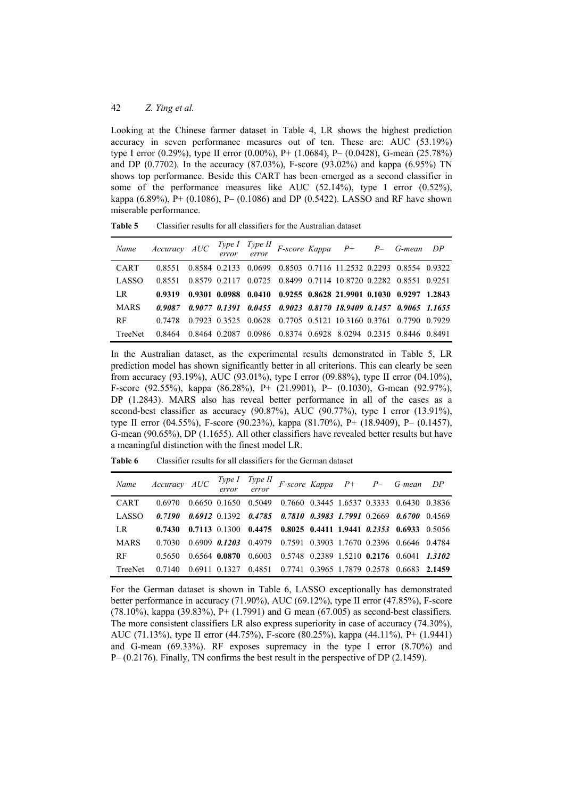Looking at the Chinese farmer dataset in Table 4, LR shows the highest prediction accuracy in seven performance measures out of ten. These are: AUC (53.19%) type I error (0.29%), type II error (0.00%), P+ (1.0684), P– (0.0428), G-mean (25.78%) and DP (0.7702). In the accuracy  $(87.03\%)$ , F-score  $(93.02\%)$  and kappa  $(6.95\%)$  TN shows top performance. Beside this CART has been emerged as a second classifier in some of the performance measures like AUC (52.14%), type I error (0.52%), kappa (6.89%), P+ (0.1086), P– (0.1086) and DP (0.5422). LASSO and RF have shown miserable performance.

**Table 5** Classifier results for all classifiers for the Australian dataset

|              | Name Accuracy AUC $\frac{Type I}{error}$ F-score Kappa P+ P- G-mean DP |               |  |                                                                        |  |  |
|--------------|------------------------------------------------------------------------|---------------|--|------------------------------------------------------------------------|--|--|
| <b>CART</b>  | 0.8551                                                                 |               |  | 0.8584 0.2133 0.0699 0.8503 0.7116 11.2532 0.2293 0.8554 0.9322        |  |  |
| <b>LASSO</b> | 0.8551                                                                 |               |  | 0.8579 0.2117 0.0725 0.8499 0.7114 10.8720 0.2282 0.8551 0.9251        |  |  |
| LR           | 0.9319                                                                 |               |  | 0.9301 0.0988 0.0410 0.9255 0.8628 21.9901 0.1030 0.9297 1.2843        |  |  |
| <b>MARS</b>  |                                                                        |               |  | 0.9087 0.9077 0.1391 0.0455 0.9023 0.8170 18.9409 0.1457 0.9065 1.1655 |  |  |
| <b>RF</b>    | 0.7478                                                                 |               |  | 0.7923 0.3525 0.0628 0.7705 0.5121 10.3160 0.3761 0.7790 0.7929        |  |  |
| TreeNet      | 0.8464                                                                 | 0.8464 0.2087 |  | 0.0986 0.8374 0.6928 8.0294 0.2315 0.8446 0.8491                       |  |  |

In the Australian dataset, as the experimental results demonstrated in Table 5, LR prediction model has shown significantly better in all criterions. This can clearly be seen from accuracy (93.19%), AUC (93.01%), type I error (09.88%), type II error (04.10%), F-score (92.55%), kappa (86.28%), P+ (21.9901), P– (0.1030), G-mean (92.97%), DP (1.2843). MARS also has reveal better performance in all of the cases as a second-best classifier as accuracy  $(90.87%)$ , AUC  $(90.77%)$ , type I error  $(13.91%)$ , type II error (04.55%), F-score (90.23%), kappa (81.70%), P+ (18.9409), P– (0.1457), G-mean (90.65%), DP (1.1655). All other classifiers have revealed better results but have a meaningful distinction with the finest model LR.

**Table 6** Classifier results for all classifiers for the German dataset

|              | Name Accuracy AUC $\frac{Type I}{error}$ F-score Kappa P+ P- G-mean DP |  |                                                  |  |                                                                                  |  |
|--------------|------------------------------------------------------------------------|--|--------------------------------------------------|--|----------------------------------------------------------------------------------|--|
| <b>CART</b>  | 0.6970                                                                 |  |                                                  |  | 0.6650 0.1650 0.5049 0.7660 0.3445 1.6537 0.3333 0.6430 0.3836                   |  |
| <b>LASSO</b> | 0.7190                                                                 |  |                                                  |  | $0.6912$ $0.1392$ $0.4785$ $0.7810$ $0.3983$ $1.7991$ $0.2669$ $0.6700$ $0.4569$ |  |
| LR           | 0.7430                                                                 |  |                                                  |  | $0.7113$ $0.1300$ $0.4475$ $0.8025$ $0.4411$ $1.9441$ $0.2353$ $0.6933$ $0.5056$ |  |
| <b>MARS</b>  | 0.7030                                                                 |  |                                                  |  | 0.6909 0.1203 0.4979 0.7591 0.3903 1.7670 0.2396 0.6646 0.4784                   |  |
| <b>RF</b>    | 0.5650                                                                 |  |                                                  |  | $0.6564$ $0.0870$ $0.6003$ $0.5748$ $0.2389$ $1.5210$ $0.2176$ $0.6041$ $1.3102$ |  |
| TreeNet      | 0.7140                                                                 |  | 0.6911 0.1327 0.4851 0.7741 0.3965 1.7879 0.2578 |  | $0.6683$ 2.1459                                                                  |  |

For the German dataset is shown in Table 6, LASSO exceptionally has demonstrated better performance in accuracy (71.90%), AUC (69.12%), type II error (47.85%), F-score (78.10%), kappa (39.83%), P+ (1.7991) and G mean (67.005) as second-best classifiers. The more consistent classifiers LR also express superiority in case of accuracy (74.30%), AUC (71.13%), type II error (44.75%), F-score (80.25%), kappa (44.11%), P+ (1.9441) and G-mean (69.33%). RF exposes supremacy in the type I error (8.70%) and P– (0.2176). Finally, TN confirms the best result in the perspective of DP (2.1459).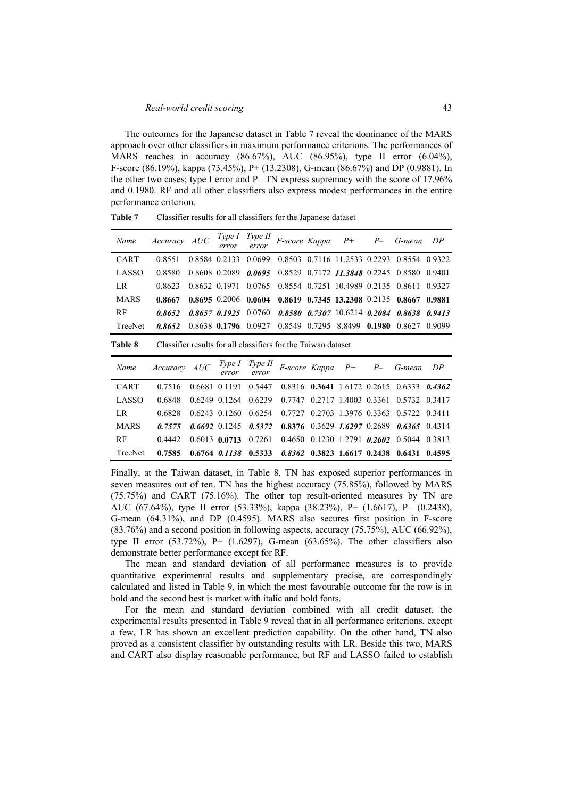The outcomes for the Japanese dataset in Table 7 reveal the dominance of the MARS approach over other classifiers in maximum performance criterions. The performances of MARS reaches in accuracy (86.67%), AUC (86.95%), type II error (6.04%), F-score (86.19%), kappa (73.45%), P+ (13.2308), G-mean (86.67%) and DP (0.9881). In the other two cases; type I error and P– TN express supremacy with the score of 17.96% and 0.1980. RF and all other classifiers also express modest performances in the entire performance criterion.

**Table 7** Classifier results for all classifiers for the Japanese dataset

| Name         | Accuracy AUC |               | Type 1<br>error   | Type II<br>error | F-score Kappa                                                 |        | $P+$                                | $P-$   | G-mean        | DP     |
|--------------|--------------|---------------|-------------------|------------------|---------------------------------------------------------------|--------|-------------------------------------|--------|---------------|--------|
| CART         | 0.8551       |               | 0.8584 0.2133     | 0.0699           |                                                               |        | 0.8503 0.7116 11.2533 0.2293        |        | 0.8554 0.9322 |        |
| LASSO        | 0.8580       |               | 0.8608 0.2089     | 0.0695           | 0.8529                                                        |        | 0.7172 11.3848 0.2245               |        | 0.8580        | 0.9401 |
| LR.          | 0.8623       | 0.8632 0.1971 |                   | 0.0765           | 0.8554                                                        |        | 0.7251 10.4989 0.2135               |        | 0.8611        | 0.9327 |
| <b>MARS</b>  | 0.8667       |               | 0.8695 0.2006     | 0.0604           | 0.8619                                                        |        | 0.7345 13.2308 0.2135               |        | 0.8667        | 0.9881 |
| RF           | 0.8652       |               | 0.8657 0.1925     | 0.0760           | 0.8580                                                        |        | $0.7307$ 10.6214 0.2084             |        | 0.8638        | 0.9413 |
| TreeNet      | 0.8652       |               | 0.8638 0.1796     | 0.0927           | 0.8549                                                        | 0.7295 | 8.8499                              | 0.1980 | 0.8627        | 0.9099 |
| Table 8      |              |               |                   |                  | Classifier results for all classifiers for the Taiwan dataset |        |                                     |        |               |        |
| Name         | Accuracy     | AUC           | Type 1<br>error   | Type II<br>error |                                                               |        | F-score Kappa P+                    | $P-$   | G-mean        | DP     |
| <b>CART</b>  | 0.7516       | 0.6681        | 0.1191            | 0.5447           | 0.8316                                                        |        | $0.3641$ 1.6172 0.2615              |        | 0.6333        | 0.4362 |
| <b>LASSO</b> | 0.6848       |               | 0.6249 0.1264     | 0.6239           | 0.7747                                                        |        | 0.2717 1.4003 0.3361                |        | 0.5732        | 0.3417 |
| LR.          | 0.6828       |               | 0.6243 0.1260     | 0.6254           | 0.7727                                                        |        | 0.2703 1.3976 0.3363                |        | 0.5722        | 0 3411 |
| <b>MARS</b>  | 0.7575       |               | $0.6692$ 0.1245   | 0.5372           |                                                               |        | $0.8376$ $0.3629$ $1.6297$ $0.2689$ |        | 0.6365        | 0.4314 |
| RF           | 0.4442       |               | $0.6013$ 0.0713   | 0.7261           | 0.4650                                                        |        | $0.1230$ 1.2791 0.2602              |        | 0.5044        | 0.3813 |
| TreeNet      | 0.7585       |               | $0.6764$ $0.1138$ | 0.5333           | 0.8362                                                        |        | 0.3823 1.6617 0.2438                |        | 0.6431        | 0.4595 |

Finally, at the Taiwan dataset, in Table 8, TN has exposed superior performances in seven measures out of ten. TN has the highest accuracy (75.85%), followed by MARS (75.75%) and CART (75.16%). The other top result-oriented measures by TN are AUC (67.64%), type II error (53.33%), kappa (38.23%), P+ (1.6617), P– (0.2438), G-mean (64.31%), and DP (0.4595). MARS also secures first position in F-score (83.76%) and a second position in following aspects, accuracy (75.75%), AUC (66.92%), type II error  $(53.72\%)$ , P+  $(1.6297)$ , G-mean  $(63.65\%)$ . The other classifiers also demonstrate better performance except for RF.

The mean and standard deviation of all performance measures is to provide quantitative experimental results and supplementary precise, are correspondingly calculated and listed in Table 9, in which the most favourable outcome for the row is in bold and the second best is market with italic and bold fonts.

For the mean and standard deviation combined with all credit dataset, the experimental results presented in Table 9 reveal that in all performance criterions, except a few, LR has shown an excellent prediction capability. On the other hand, TN also proved as a consistent classifier by outstanding results with LR. Beside this two, MARS and CART also display reasonable performance, but RF and LASSO failed to establish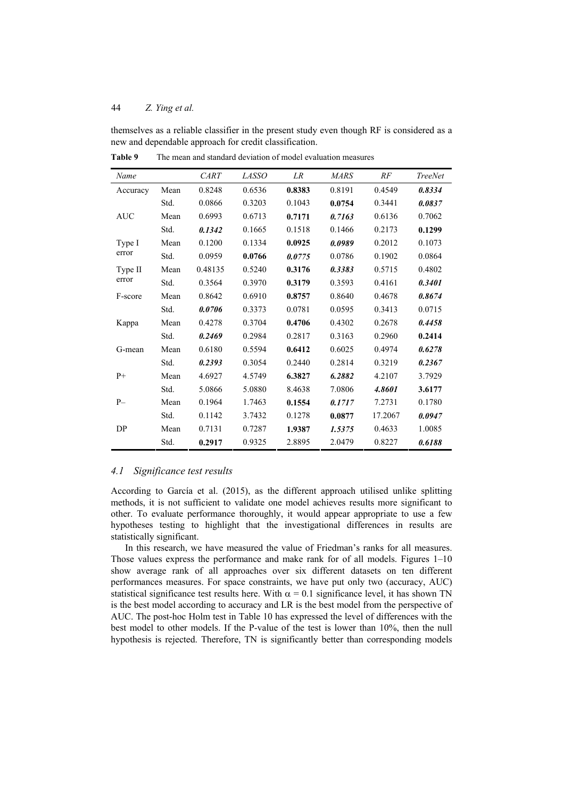themselves as a reliable classifier in the present study even though RF is considered as a new and dependable approach for credit classification.

| Name       |      | <b>CART</b> | <b>LASSO</b> | LR     | <b>MARS</b> | RF      | <b>TreeNet</b> |
|------------|------|-------------|--------------|--------|-------------|---------|----------------|
| Accuracy   | Mean | 0.8248      | 0.6536       | 0.8383 | 0.8191      | 0.4549  | 0.8334         |
|            | Std. | 0.0866      | 0.3203       | 0.1043 | 0.0754      | 0.3441  | 0.0837         |
| <b>AUC</b> | Mean | 0.6993      | 0.6713       | 0.7171 | 0.7163      | 0.6136  | 0.7062         |
|            | Std. | 0.1342      | 0.1665       | 0.1518 | 0.1466      | 0.2173  | 0.1299         |
| Type I     | Mean | 0.1200      | 0.1334       | 0.0925 | 0.0989      | 0.2012  | 0.1073         |
| error      | Std. | 0.0959      | 0.0766       | 0.0775 | 0.0786      | 0.1902  | 0.0864         |
| Type II    | Mean | 0.48135     | 0.5240       | 0.3176 | 0.3383      | 0.5715  | 0.4802         |
| error      | Std. | 0.3564      | 0.3970       | 0.3179 | 0.3593      | 0.4161  | 0.3401         |
| F-score    | Mean | 0.8642      | 0.6910       | 0.8757 | 0.8640      | 0.4678  | 0.8674         |
|            | Std. | 0.0706      | 0.3373       | 0.0781 | 0.0595      | 0.3413  | 0.0715         |
| Kappa      | Mean | 0.4278      | 0.3704       | 0.4706 | 0.4302      | 0.2678  | 0.4458         |
|            | Std. | 0.2469      | 0.2984       | 0.2817 | 0.3163      | 0.2960  | 0.2414         |
| G-mean     | Mean | 0.6180      | 0.5594       | 0.6412 | 0.6025      | 0.4974  | 0.6278         |
|            | Std. | 0.2393      | 0.3054       | 0.2440 | 0.2814      | 0.3219  | 0.2367         |
| $P+$       | Mean | 4.6927      | 4.5749       | 6.3827 | 6.2882      | 4.2107  | 3.7929         |
|            | Std. | 5.0866      | 5.0880       | 8.4638 | 7.0806      | 4.8601  | 3.6177         |
| $P-$       | Mean | 0.1964      | 1.7463       | 0.1554 | 0.1717      | 7.2731  | 0.1780         |
|            | Std. | 0.1142      | 3.7432       | 0.1278 | 0.0877      | 17.2067 | 0.0947         |
| DP         | Mean | 0.7131      | 0.7287       | 1.9387 | 1.5375      | 0.4633  | 1.0085         |
|            | Std. | 0.2917      | 0.9325       | 2.8895 | 2.0479      | 0.8227  | 0.6188         |

**Table 9** The mean and standard deviation of model evaluation measures

#### *4.1 Significance test results*

According to García et al. (2015), as the different approach utilised unlike splitting methods, it is not sufficient to validate one model achieves results more significant to other. To evaluate performance thoroughly, it would appear appropriate to use a few hypotheses testing to highlight that the investigational differences in results are statistically significant.

In this research, we have measured the value of Friedman's ranks for all measures. Those values express the performance and make rank for of all models. Figures 1–10 show average rank of all approaches over six different datasets on ten different performances measures. For space constraints, we have put only two (accuracy, AUC) statistical significance test results here. With  $\alpha = 0.1$  significance level, it has shown TN is the best model according to accuracy and LR is the best model from the perspective of AUC. The post-hoc Holm test in Table 10 has expressed the level of differences with the best model to other models. If the P-value of the test is lower than 10%, then the null hypothesis is rejected. Therefore, TN is significantly better than corresponding models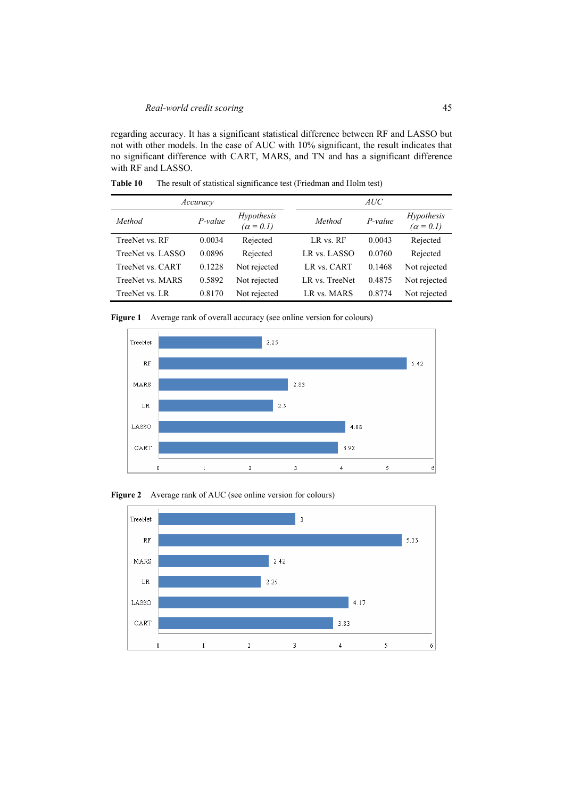regarding accuracy. It has a significant statistical difference between RF and LASSO but not with other models. In the case of AUC with 10% significant, the result indicates that no significant difference with CART, MARS, and TN and has a significant difference with RF and LASSO.

**Table 10** The result of statistical significance test (Friedman and Holm test)

|                   | Accuracy  |                                |                | AUC     |                                |
|-------------------|-----------|--------------------------------|----------------|---------|--------------------------------|
| Method            | $P-value$ | Hypothesis<br>$(\alpha = 0.1)$ | Method         | P-value | Hypothesis<br>$(\alpha = 0.1)$ |
| TreeNet vs. RF    | 0.0034    | Rejected                       | LR vs. RF      | 0.0043  | Rejected                       |
| TreeNet vs. LASSO | 0.0896    | Rejected                       | LR vs. LASSO   | 0.0760  | Rejected                       |
| TreeNet vs. CART  | 0.1228    | Not rejected                   | LR vs. CART    | 0.1468  | Not rejected                   |
| TreeNet vs. MARS  | 0.5892    | Not rejected                   | LR vs. TreeNet | 0.4875  | Not rejected                   |
| TreeNet vs. LR    | 0.8170    | Not rejected                   | LR vs. MARS    | 0.8774  | Not rejected                   |

Figure 1 Average rank of overall accuracy (see online version for colours)



Figure 2 Average rank of AUC (see online version for colours)

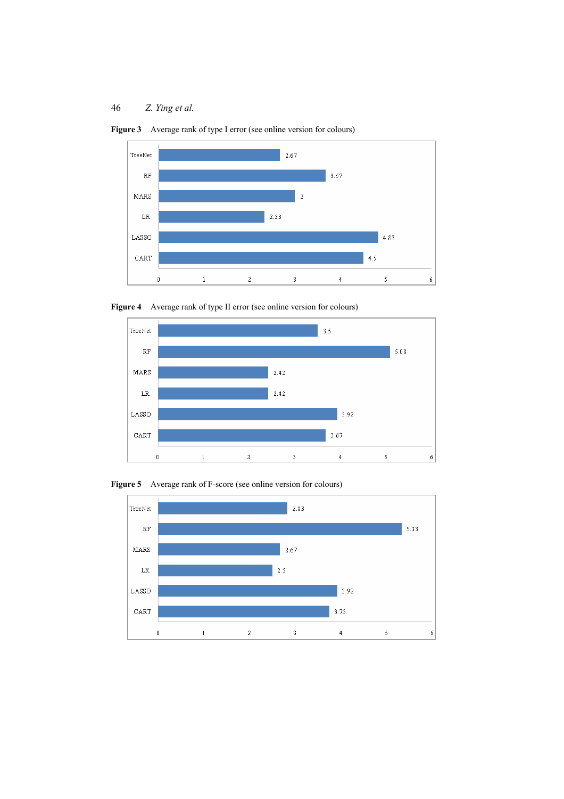

Figure 3 Average rank of type I error (see online version for colours)





**Figure 5** Average rank of F-score (see online version for colours)

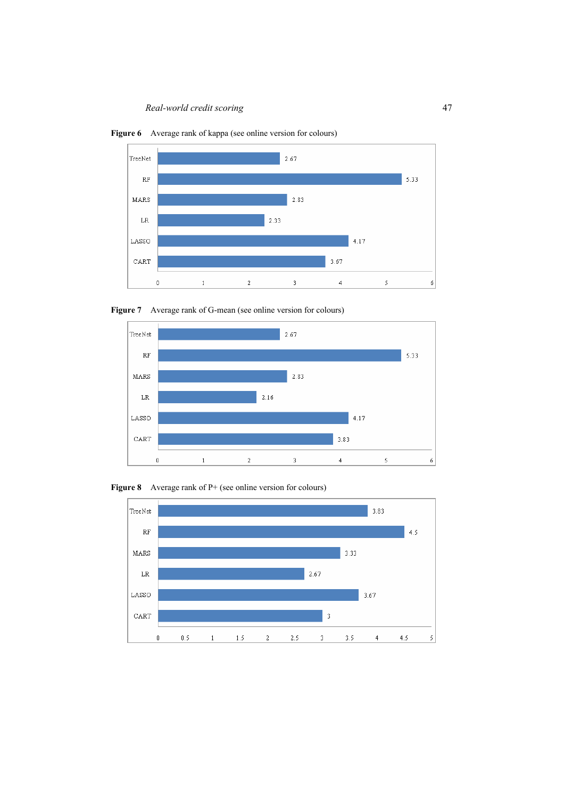*Real-world credit scoring* 47



**Figure 6** Average rank of kappa (see online version for colours)





**Figure 8** Average rank of P+ (see online version for colours)

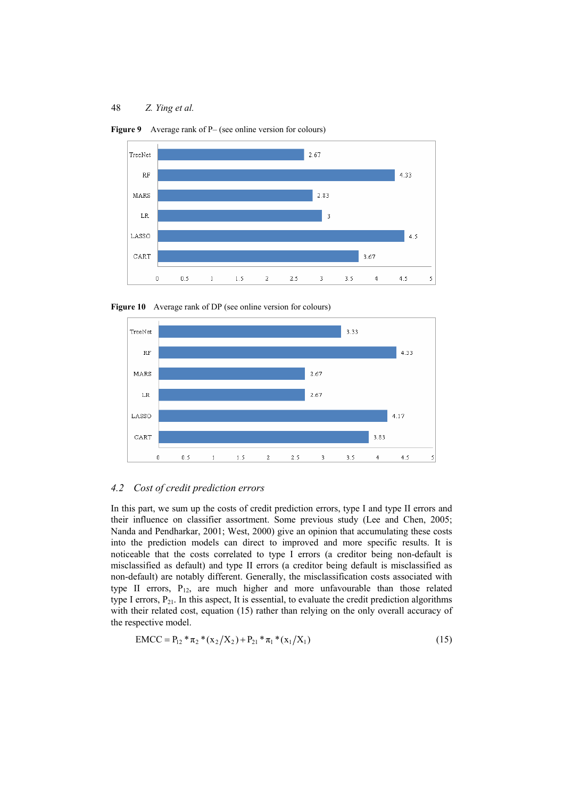

**Figure 9** Average rank of P– (see online version for colours)





## *4.2 Cost of credit prediction errors*

In this part, we sum up the costs of credit prediction errors, type I and type II errors and their influence on classifier assortment. Some previous study (Lee and Chen, 2005; Nanda and Pendharkar, 2001; West, 2000) give an opinion that accumulating these costs into the prediction models can direct to improved and more specific results. It is noticeable that the costs correlated to type I errors (a creditor being non-default is misclassified as default) and type II errors (a creditor being default is misclassified as non-default) are notably different. Generally, the misclassification costs associated with type II errors,  $P_{12}$ , are much higher and more unfavourable than those related type I errors,  $P_{21}$ . In this aspect, It is essential, to evaluate the credit prediction algorithms with their related cost, equation (15) rather than relying on the only overall accuracy of the respective model.

$$
EMCC = P_{12} * \pi_2 * (x_2/X_2) + P_{21} * \pi_1 * (x_1/X_1)
$$
\n(15)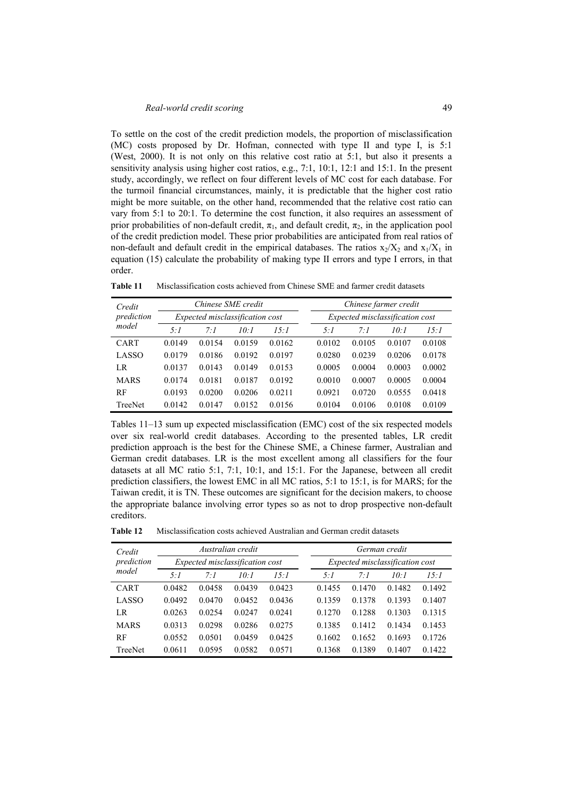To settle on the cost of the credit prediction models, the proportion of misclassification (MC) costs proposed by Dr. Hofman, connected with type II and type I, is 5:1 (West, 2000). It is not only on this relative cost ratio at 5:1, but also it presents a sensitivity analysis using higher cost ratios, e.g., 7:1, 10:1, 12:1 and 15:1. In the present study, accordingly, we reflect on four different levels of MC cost for each database. For the turmoil financial circumstances, mainly, it is predictable that the higher cost ratio might be more suitable, on the other hand, recommended that the relative cost ratio can vary from 5:1 to 20:1. To determine the cost function, it also requires an assessment of prior probabilities of non-default credit,  $\pi_1$ , and default credit,  $\pi_2$ , in the application pool of the credit prediction model. These prior probabilities are anticipated from real ratios of non-default and default credit in the empirical databases. The ratios  $x_2/X_2$  and  $x_1/X_1$  in equation (15) calculate the probability of making type II errors and type I errors, in that order.

**Table 11** Misclassification costs achieved from Chinese SME and farmer credit datasets

| Credit      |        |                                 | Chinese SME credit |        |                                 |        | Chinese farmer credit |        |  |  |
|-------------|--------|---------------------------------|--------------------|--------|---------------------------------|--------|-----------------------|--------|--|--|
| prediction  |        | Expected misclassification cost |                    |        | Expected misclassification cost |        |                       |        |  |  |
| model       | 5:1    | $7 \cdot 1$                     | 10:1               | 15:1   | 5:1                             | 7.1    | 10:1                  | 15:1   |  |  |
| CART        | 0.0149 | 0.0154                          | 0.0159             | 0.0162 | 0.0102                          | 0.0105 | 0.0107                | 0.0108 |  |  |
| LASSO       | 0.0179 | 0.0186                          | 0.0192             | 0.0197 | 0.0280                          | 0.0239 | 0.0206                | 0.0178 |  |  |
| LR          | 0.0137 | 0.0143                          | 0.0149             | 0.0153 | 0.0005                          | 0.0004 | 0.0003                | 0.0002 |  |  |
| <b>MARS</b> | 0.0174 | 0.0181                          | 0.0187             | 0.0192 | 0.0010                          | 0.0007 | 0.0005                | 0.0004 |  |  |
| RF          | 0.0193 | 0.0200                          | 0.0206             | 0.0211 | 0.0921                          | 0.0720 | 0.0555                | 0.0418 |  |  |
| TreeNet     | 0.0142 | 0.0147                          | 0.0152             | 0.0156 | 0.0104                          | 0.0106 | 0.0108                | 0.0109 |  |  |

Tables 11–13 sum up expected misclassification (EMC) cost of the six respected models over six real-world credit databases. According to the presented tables, LR credit prediction approach is the best for the Chinese SME, a Chinese farmer, Australian and German credit databases. LR is the most excellent among all classifiers for the four datasets at all MC ratio 5:1, 7:1, 10:1, and 15:1. For the Japanese, between all credit prediction classifiers, the lowest EMC in all MC ratios, 5:1 to 15:1, is for MARS; for the Taiwan credit, it is TN. These outcomes are significant for the decision makers, to choose the appropriate balance involving error types so as not to drop prospective non-default creditors.

**Table 12** Misclassification costs achieved Australian and German credit datasets

| Credit      |        |             | Australian credit               |        | German credit                   |             |        |        |  |  |
|-------------|--------|-------------|---------------------------------|--------|---------------------------------|-------------|--------|--------|--|--|
| prediction  |        |             | Expected misclassification cost |        | Expected misclassification cost |             |        |        |  |  |
| model       | 5:1    | $7 \cdot 1$ | 10:1                            | 15:1   | 5:1                             | $7 \cdot 1$ | $10-1$ | 15:1   |  |  |
| <b>CART</b> | 0.0482 | 0.0458      | 0.0439                          | 0.0423 | 0.1455                          | 0.1470      | 0.1482 | 0.1492 |  |  |
| LASSO       | 0.0492 | 0.0470      | 0.0452                          | 0.0436 | 0.1359                          | 0.1378      | 0.1393 | 0.1407 |  |  |
| LR          | 0.0263 | 0.0254      | 0.0247                          | 0.0241 | 0.1270                          | 0.1288      | 0.1303 | 0.1315 |  |  |
| <b>MARS</b> | 0.0313 | 0.0298      | 0.0286                          | 0.0275 | 0.1385                          | 0.1412      | 0.1434 | 0.1453 |  |  |
| RF          | 0.0552 | 0.0501      | 0.0459                          | 0.0425 | 0.1602                          | 0.1652      | 0.1693 | 0.1726 |  |  |
| TreeNet     | 0.0611 | 0.0595      | 0.0582                          | 0.0571 | 0.1368                          | 0.1389      | 0.1407 | 0.1422 |  |  |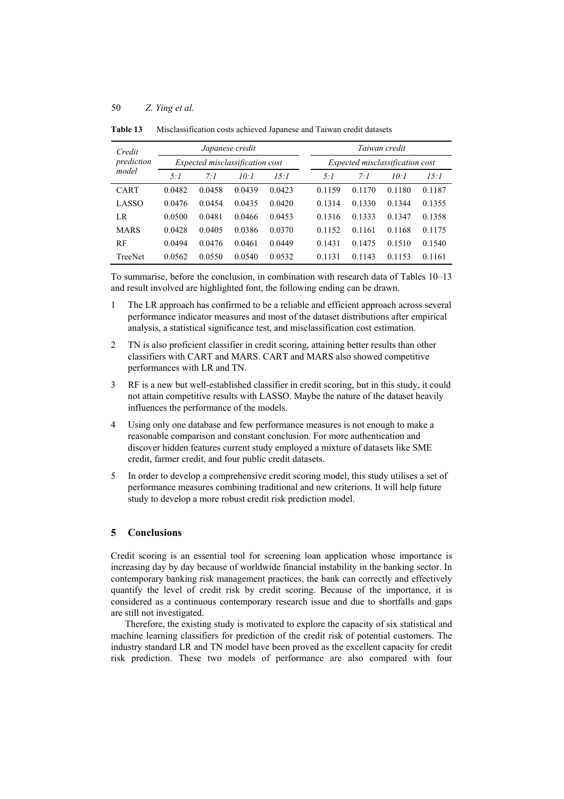| Credit<br>prediction<br>model | Japanese credit<br>Expected misclassification cost |        |        |        |  | Taiwan credit<br>Expected misclassification cost |        |        |        |  |
|-------------------------------|----------------------------------------------------|--------|--------|--------|--|--------------------------------------------------|--------|--------|--------|--|
|                               |                                                    |        |        |        |  |                                                  |        |        |        |  |
|                               | 5:1                                                | 7:1    | 10:1   | 15:1   |  | 5:1                                              | 7:1    | 10:1   | 15:1   |  |
| <b>CART</b>                   | 0.0482                                             | 0.0458 | 0.0439 | 0.0423 |  | 0.1159                                           | 0.1170 | 0.1180 | 0.1187 |  |
| LASSO                         | 0.0476                                             | 0.0454 | 0.0435 | 0.0420 |  | 0.1314                                           | 0.1330 | 0.1344 | 0.1355 |  |
| LR                            | 0.0500                                             | 0.0481 | 0.0466 | 0.0453 |  | 0.1316                                           | 0.1333 | 0.1347 | 0.1358 |  |
| <b>MARS</b>                   | 0.0428                                             | 0.0405 | 0.0386 | 0.0370 |  | 0.1152                                           | 0.1161 | 0.1168 | 0.1175 |  |
| RF                            | 0.0494                                             | 0.0476 | 0.0461 | 0.0449 |  | 0.1431                                           | 0.1475 | 0.1510 | 0.1540 |  |
| TreeNet                       | 0.0562                                             | 0.0550 | 0.0540 | 0.0532 |  | 0.1131                                           | 0.1143 | 0.1153 | 0.1161 |  |

**Table 13** Misclassification costs achieved Japanese and Taiwan credit datasets

To summarise, before the conclusion, in combination with research data of Tables 10–13 and result involved are highlighted font, the following ending can be drawn.

- 1 The LR approach has confirmed to be a reliable and efficient approach across several performance indicator measures and most of the dataset distributions after empirical analysis, a statistical significance test, and misclassification cost estimation.
- 2 TN is also proficient classifier in credit scoring, attaining better results than other classifiers with CART and MARS. CART and MARS also showed competitive performances with LR and TN.
- 3 RF is a new but well-established classifier in credit scoring, but in this study, it could not attain competitive results with LASSO. Maybe the nature of the dataset heavily influences the performance of the models.
- 4 Using only one database and few performance measures is not enough to make a reasonable comparison and constant conclusion. For more authentication and discover hidden features current study employed a mixture of datasets like SME credit, farmer credit, and four public credit datasets.
- 5 In order to develop a comprehensive credit scoring model, this study utilises a set of performance measures combining traditional and new criterions. It will help future study to develop a more robust credit risk prediction model.

# **5 Conclusions**

Credit scoring is an essential tool for screening loan application whose importance is increasing day by day because of worldwide financial instability in the banking sector. In contemporary banking risk management practices, the bank can correctly and effectively quantify the level of credit risk by credit scoring. Because of the importance, it is considered as a continuous contemporary research issue and due to shortfalls and gaps are still not investigated.

Therefore, the existing study is motivated to explore the capacity of six statistical and machine learning classifiers for prediction of the credit risk of potential customers. The industry standard LR and TN model have been proved as the excellent capacity for credit risk prediction. These two models of performance are also compared with four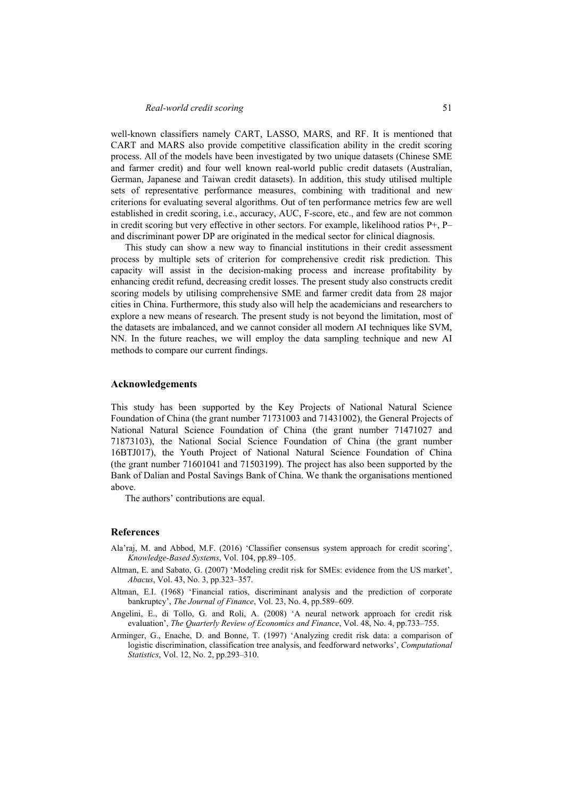well-known classifiers namely CART, LASSO, MARS, and RF. It is mentioned that CART and MARS also provide competitive classification ability in the credit scoring process. All of the models have been investigated by two unique datasets (Chinese SME and farmer credit) and four well known real-world public credit datasets (Australian, German, Japanese and Taiwan credit datasets). In addition, this study utilised multiple sets of representative performance measures, combining with traditional and new criterions for evaluating several algorithms. Out of ten performance metrics few are well established in credit scoring, i.e., accuracy, AUC, F-score, etc., and few are not common in credit scoring but very effective in other sectors. For example, likelihood ratios P+, P– and discriminant power DP are originated in the medical sector for clinical diagnosis.

This study can show a new way to financial institutions in their credit assessment process by multiple sets of criterion for comprehensive credit risk prediction. This capacity will assist in the decision-making process and increase profitability by enhancing credit refund, decreasing credit losses. The present study also constructs credit scoring models by utilising comprehensive SME and farmer credit data from 28 major cities in China. Furthermore, this study also will help the academicians and researchers to explore a new means of research. The present study is not beyond the limitation, most of the datasets are imbalanced, and we cannot consider all modern AI techniques like SVM, NN. In the future reaches, we will employ the data sampling technique and new AI methods to compare our current findings.

#### **Acknowledgements**

This study has been supported by the Key Projects of National Natural Science Foundation of China (the grant number 71731003 and 71431002), the General Projects of National Natural Science Foundation of China (the grant number 71471027 and 71873103), the National Social Science Foundation of China (the grant number 16BTJ017), the Youth Project of National Natural Science Foundation of China (the grant number 71601041 and 71503199). The project has also been supported by the Bank of Dalian and Postal Savings Bank of China. We thank the organisations mentioned above.

The authors' contributions are equal.

#### **References**

- Ala'raj, M. and Abbod, M.F. (2016) 'Classifier consensus system approach for credit scoring', *Knowledge-Based Systems*, Vol. 104, pp.89–105.
- Altman, E. and Sabato, G. (2007) 'Modeling credit risk for SMEs: evidence from the US market', *Abacus*, Vol. 43, No. 3, pp.323–357.
- Altman, E.I. (1968) 'Financial ratios, discriminant analysis and the prediction of corporate bankruptcy', *The Journal of Finance*, Vol. 23, No. 4, pp.589–609.
- Angelini, E., di Tollo, G. and Roli, A. (2008) 'A neural network approach for credit risk evaluation', *The Quarterly Review of Economics and Finance*, Vol. 48, No. 4, pp.733–755.
- Arminger, G., Enache, D. and Bonne, T. (1997) 'Analyzing credit risk data: a comparison of logistic discrimination, classification tree analysis, and feedforward networks', *Computational Statistics*, Vol. 12, No. 2, pp.293–310.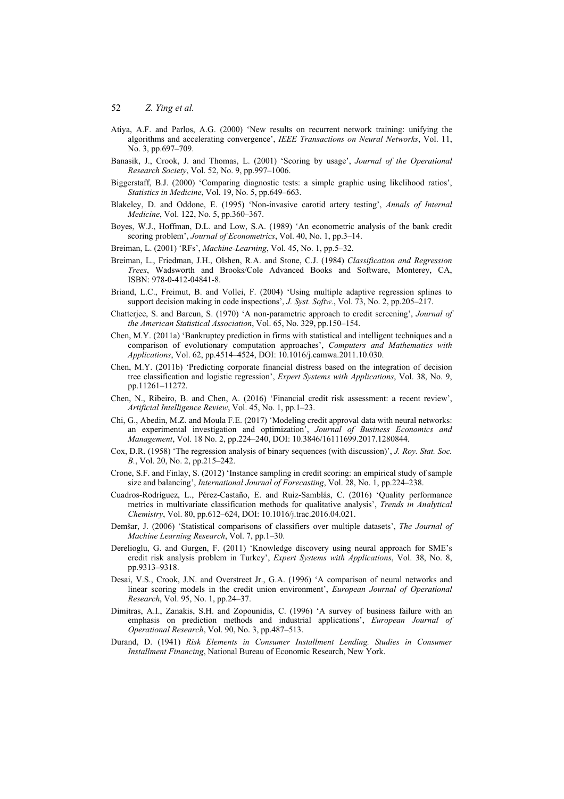- Atiya, A.F. and Parlos, A.G. (2000) 'New results on recurrent network training: unifying the algorithms and accelerating convergence', *IEEE Transactions on Neural Networks*, Vol. 11, No. 3, pp.697–709.
- Banasik, J., Crook, J. and Thomas, L. (2001) 'Scoring by usage', *Journal of the Operational Research Society*, Vol. 52, No. 9, pp.997–1006.
- Biggerstaff, B.J. (2000) 'Comparing diagnostic tests: a simple graphic using likelihood ratios', *Statistics in Medicine*, Vol. 19, No. 5, pp.649–663.
- Blakeley, D. and Oddone, E. (1995) 'Non-invasive carotid artery testing', *Annals of Internal Medicine*, Vol. 122, No. 5, pp.360–367.
- Boyes, W.J., Hoffman, D.L. and Low, S.A. (1989) 'An econometric analysis of the bank credit scoring problem', *Journal of Econometrics*, Vol. 40, No. 1, pp.3–14.
- Breiman, L. (2001) 'RFs', *Machine-Learning*, Vol. 45, No. 1, pp.5–32.
- Breiman, L., Friedman, J.H., Olshen, R.A. and Stone, C.J. (1984) *Classification and Regression Trees*, Wadsworth and Brooks/Cole Advanced Books and Software, Monterey, CA, ISBN: 978-0-412-04841-8.
- Briand, L.C., Freimut, B. and Vollei, F. (2004) 'Using multiple adaptive regression splines to support decision making in code inspections', *J. Syst. Softw.*, Vol. 73, No. 2, pp.205–217.
- Chatterjee, S. and Barcun, S. (1970) 'A non-parametric approach to credit screening', *Journal of the American Statistical Association*, Vol. 65, No. 329, pp.150–154.
- Chen, M.Y. (2011a) 'Bankruptcy prediction in firms with statistical and intelligent techniques and a comparison of evolutionary computation approaches', *Computers and Mathematics with Applications*, Vol. 62, pp.4514–4524, DOI: 10.1016/j.camwa.2011.10.030.
- Chen, M.Y. (2011b) 'Predicting corporate financial distress based on the integration of decision tree classification and logistic regression', *Expert Systems with Applications*, Vol. 38, No. 9, pp.11261–11272.
- Chen, N., Ribeiro, B. and Chen, A. (2016) 'Financial credit risk assessment: a recent review', *Artificial Intelligence Review*, Vol. 45, No. 1, pp.1–23.
- Chi, G., Abedin, M.Z. and Moula F.E. (2017) 'Modeling credit approval data with neural networks: an experimental investigation and optimization', *Journal of Business Economics and Management*, Vol. 18 No. 2, pp.224–240, DOI: 10.3846/16111699.2017.1280844.
- Cox, D.R. (1958) 'The regression analysis of binary sequences (with discussion)', *J. Roy. Stat. Soc. B.*, Vol. 20, No. 2, pp.215–242.
- Crone, S.F. and Finlay, S. (2012) 'Instance sampling in credit scoring: an empirical study of sample size and balancing', *International Journal of Forecasting*, Vol. 28, No. 1, pp.224–238.
- Cuadros-Rodríguez, L., Pérez-Castaño, E. and Ruiz-Samblás, C. (2016) 'Quality performance metrics in multivariate classification methods for qualitative analysis', *Trends in Analytical Chemistry*, Vol. 80, pp.612–624, DOI: 10.1016/j.trac.2016.04.021.
- Demšar, J. (2006) 'Statistical comparisons of classifiers over multiple datasets', *The Journal of Machine Learning Research*, Vol. 7, pp.1–30.
- Derelioglu, G. and Gurgen, F. (2011) 'Knowledge discovery using neural approach for SME's credit risk analysis problem in Turkey', *Expert Systems with Applications*, Vol. 38, No. 8, pp.9313–9318.
- Desai, V.S., Crook, J.N. and Overstreet Jr., G.A. (1996) 'A comparison of neural networks and linear scoring models in the credit union environment', *European Journal of Operational Research*, Vol. 95, No. 1, pp.24–37.
- Dimitras, A.I., Zanakis, S.H. and Zopounidis, C. (1996) 'A survey of business failure with an emphasis on prediction methods and industrial applications', *European Journal of Operational Research*, Vol. 90, No. 3, pp.487–513.
- Durand, D. (1941) *Risk Elements in Consumer Installment Lending. Studies in Consumer Installment Financing*, National Bureau of Economic Research, New York.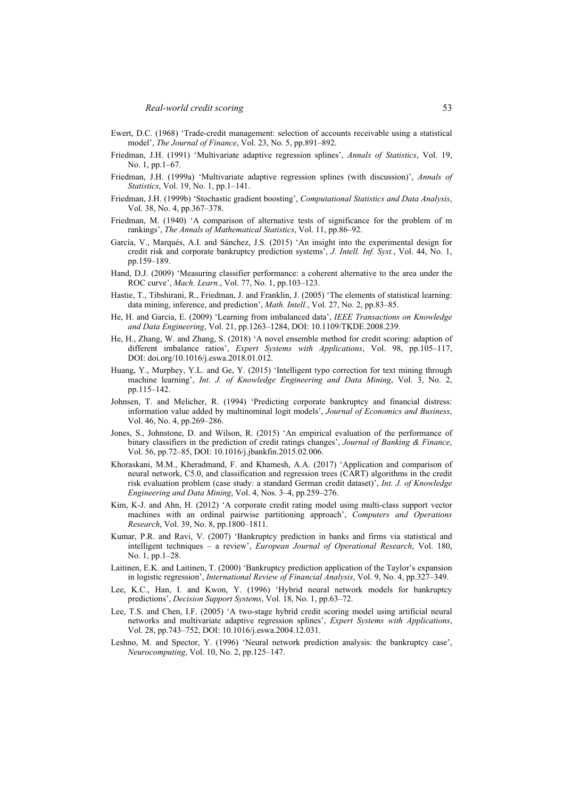- Ewert, D.C. (1968) 'Trade-credit management: selection of accounts receivable using a statistical model', *The Journal of Finance*, Vol. 23, No. 5, pp.891–892.
- Friedman, J.H. (1991) 'Multivariate adaptive regression splines', *Annals of Statistics*, Vol. 19, No. 1, pp.1–67.
- Friedman, J.H. (1999a) 'Multivariate adaptive regression splines (with discussion)', *Annals of Statistics*, Vol. 19, No. 1, pp.1–141.
- Friedman, J.H. (1999b) 'Stochastic gradient boosting', *Computational Statistics and Data Analysis*, Vol. 38, No. 4, pp.367–378.
- Friedman, M. (1940) 'A comparison of alternative tests of significance for the problem of m rankings', *The Annals of Mathematical Statistics*, Vol. 11, pp.86–92.
- García, V., Marqués, A.I. and Sánchez, J.S. (2015) 'An insight into the experimental design for credit risk and corporate bankruptcy prediction systems', *J. Intell. Inf. Syst.*, Vol. 44, No. 1, pp.159–189.
- Hand, D.J. (2009) 'Measuring classifier performance: a coherent alternative to the area under the ROC curve', *Mach. Learn*., Vol. 77, No. 1, pp.103–123.
- Hastie, T., Tibshirani, R., Friedman, J. and Franklin, J. (2005) 'The elements of statistical learning: data mining, inference, and prediction', *Math. Intell.*, Vol. 27, No. 2, pp.83–85.
- He, H. and Garcia, E. (2009) 'Learning from imbalanced data', *IEEE Transactions on Knowledge and Data Engineering*, Vol. 21, pp.1263–1284, DOI: 10.1109/TKDE.2008.239.
- He, H., Zhang, W. and Zhang, S. (2018) 'A novel ensemble method for credit scoring: adaption of different imbalance ratios', *Expert Systems with Applications*, Vol. 98, pp.105–117, DOI: doi.org/10.1016/j.eswa.2018.01.012.
- Huang, Y., Murphey, Y.L. and Ge, Y. (2015) 'Intelligent typo correction for text mining through machine learning', *Int. J. of Knowledge Engineering and Data Mining*, Vol. 3, No. 2, pp.115–142.
- Johnsen, T. and Melicher, R. (1994) 'Predicting corporate bankruptcy and financial distress: information value added by multinominal logit models', *Journal of Economics and Business*, Vol. 46, No. 4, pp.269–286.
- Jones, S., Johnstone, D. and Wilson, R. (2015) 'An empirical evaluation of the performance of binary classifiers in the prediction of credit ratings changes', *Journal of Banking & Finance*, Vol. 56, pp.72–85, DOI: 10.1016/j.jbankfin.2015.02.006.
- Khoraskani, M.M., Kheradmand, F. and Khamesh, A.A. (2017) 'Application and comparison of neural network, C5.0, and classification and regression trees (CART) algorithms in the credit risk evaluation problem (case study: a standard German credit dataset)', *Int. J. of Knowledge Engineering and Data Mining*, Vol. 4, Nos. 3–4, pp.259–276.
- Kim, K-J. and Ahn, H. (2012) 'A corporate credit rating model using multi-class support vector machines with an ordinal pairwise partitioning approach', *Computers and Operations Research*, Vol. 39, No. 8, pp.1800–1811.
- Kumar, P.R. and Ravi, V. (2007) 'Bankruptcy prediction in banks and firms via statistical and intelligent techniques – a review', *European Journal of Operational Research*, Vol. 180, No. 1, pp.1–28.
- Laitinen, E.K. and Laitinen, T. (2000) 'Bankruptcy prediction application of the Taylor's expansion in logistic regression', *International Review of Financial Analysis*, Vol. 9, No. 4, pp.327–349.
- Lee, K.C., Han, I. and Kwon, Y. (1996) 'Hybrid neural network models for bankruptcy predictions', *Decision Support Systems*, Vol. 18, No. 1, pp.63–72.
- Lee, T.S. and Chen, I.F. (2005) 'A two-stage hybrid credit scoring model using artificial neural networks and multivariate adaptive regression splines', *Expert Systems with Applications*, Vol. 28, pp.743–752, DOI: 10.1016/j.eswa.2004.12.031.
- Leshno, M. and Spector, Y. (1996) 'Neural network prediction analysis: the bankruptcy case', *Neurocomputing*, Vol. 10, No. 2, pp.125–147.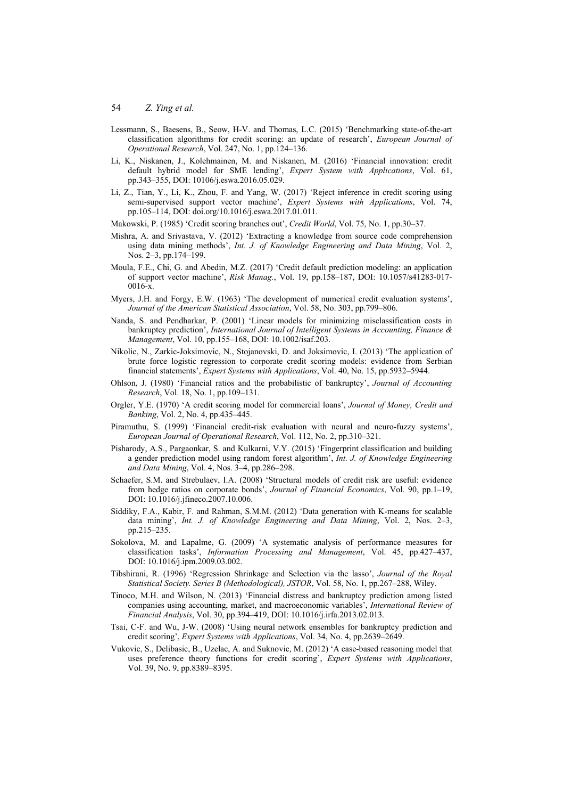- Lessmann, S., Baesens, B., Seow, H-V. and Thomas, L.C. (2015) 'Benchmarking state-of-the-art classification algorithms for credit scoring: an update of research', *European Journal of Operational Research*, Vol. 247, No. 1, pp.124–136.
- Li, K., Niskanen, J., Kolehmainen, M. and Niskanen, M. (2016) 'Financial innovation: credit default hybrid model for SME lending', *Expert System with Applications*, Vol. 61, pp.343–355, DOI: 10106/j.eswa.2016.05.029.
- Li, Z., Tian, Y., Li, K., Zhou, F. and Yang, W. (2017) 'Reject inference in credit scoring using semi-supervised support vector machine', *Expert Systems with Applications*, Vol. 74, pp.105–114, DOI: doi.org/10.1016/j.eswa.2017.01.011.
- Makowski, P. (1985) 'Credit scoring branches out', *Credit World*, Vol. 75, No. 1, pp.30–37.
- Mishra, A. and Srivastava, V. (2012) 'Extracting a knowledge from source code comprehension using data mining methods', *Int. J. of Knowledge Engineering and Data Mining*, Vol. 2, Nos. 2–3, pp.174–199.
- Moula, F.E., Chi, G. and Abedin, M.Z. (2017) 'Credit default prediction modeling: an application of support vector machine', *Risk Manag.*, Vol. 19, pp.158–187, DOI: 10.1057/s41283-017- 0016-x.
- Myers, J.H. and Forgy, E.W. (1963) 'The development of numerical credit evaluation systems', *Journal of the American Statistical Association*, Vol. 58, No. 303, pp.799–806.
- Nanda, S. and Pendharkar, P. (2001) 'Linear models for minimizing misclassification costs in bankruptcy prediction', *International Journal of Intelligent Systems in Accounting, Finance & Management*, Vol. 10, pp.155–168, DOI: 10.1002/isaf.203.
- Nikolic, N., Zarkic-Joksimovic, N., Stojanovski, D. and Joksimovic, I. (2013) 'The application of brute force logistic regression to corporate credit scoring models: evidence from Serbian financial statements', *Expert Systems with Applications*, Vol. 40, No. 15, pp.5932–5944.
- Ohlson, J. (1980) 'Financial ratios and the probabilistic of bankruptcy', *Journal of Accounting Research*, Vol. 18, No. 1, pp.109–131.
- Orgler, Y.E. (1970) 'A credit scoring model for commercial loans', *Journal of Money, Credit and Banking*, Vol. 2, No. 4, pp.435–445.
- Piramuthu, S. (1999) 'Financial credit-risk evaluation with neural and neuro-fuzzy systems', *European Journal of Operational Research*, Vol. 112, No. 2, pp.310–321.
- Pisharody, A.S., Pargaonkar, S. and Kulkarni, V.Y. (2015) 'Fingerprint classification and building a gender prediction model using random forest algorithm', *Int. J. of Knowledge Engineering and Data Mining*, Vol. 4, Nos. 3–4, pp.286–298.
- Schaefer, S.M. and Strebulaev, I.A. (2008) 'Structural models of credit risk are useful: evidence from hedge ratios on corporate bonds', *Journal of Financial Economics*, Vol. 90, pp.1–19, DOI: 10.1016/j.jfineco.2007.10.006.
- Siddiky, F.A., Kabir, F. and Rahman, S.M.M. (2012) 'Data generation with K-means for scalable data mining', *Int. J. of Knowledge Engineering and Data Mining*, Vol. 2, Nos. 2–3, pp.215–235.
- Sokolova, M. and Lapalme, G. (2009) 'A systematic analysis of performance measures for classification tasks', *Information Processing and Management*, Vol. 45, pp.427–437, DOI: 10.1016/j.ipm.2009.03.002.
- Tibshirani, R. (1996) 'Regression Shrinkage and Selection via the lasso', *Journal of the Royal Statistical Society. Series B (Methodological), JSTOR*, Vol. 58, No. 1, pp.267–288, Wiley.
- Tinoco, M.H. and Wilson, N. (2013) 'Financial distress and bankruptcy prediction among listed companies using accounting, market, and macroeconomic variables', *International Review of Financial Analysis*, Vol. 30, pp.394–419, DOI: 10.1016/j.irfa.2013.02.013.
- Tsai, C-F. and Wu, J-W. (2008) 'Using neural network ensembles for bankruptcy prediction and credit scoring', *Expert Systems with Applications*, Vol. 34, No. 4, pp.2639–2649.
- Vukovic, S., Delibasic, B., Uzelac, A. and Suknovic, M. (2012) 'A case-based reasoning model that uses preference theory functions for credit scoring', *Expert Systems with Applications*, Vol. 39, No. 9, pp.8389–8395.